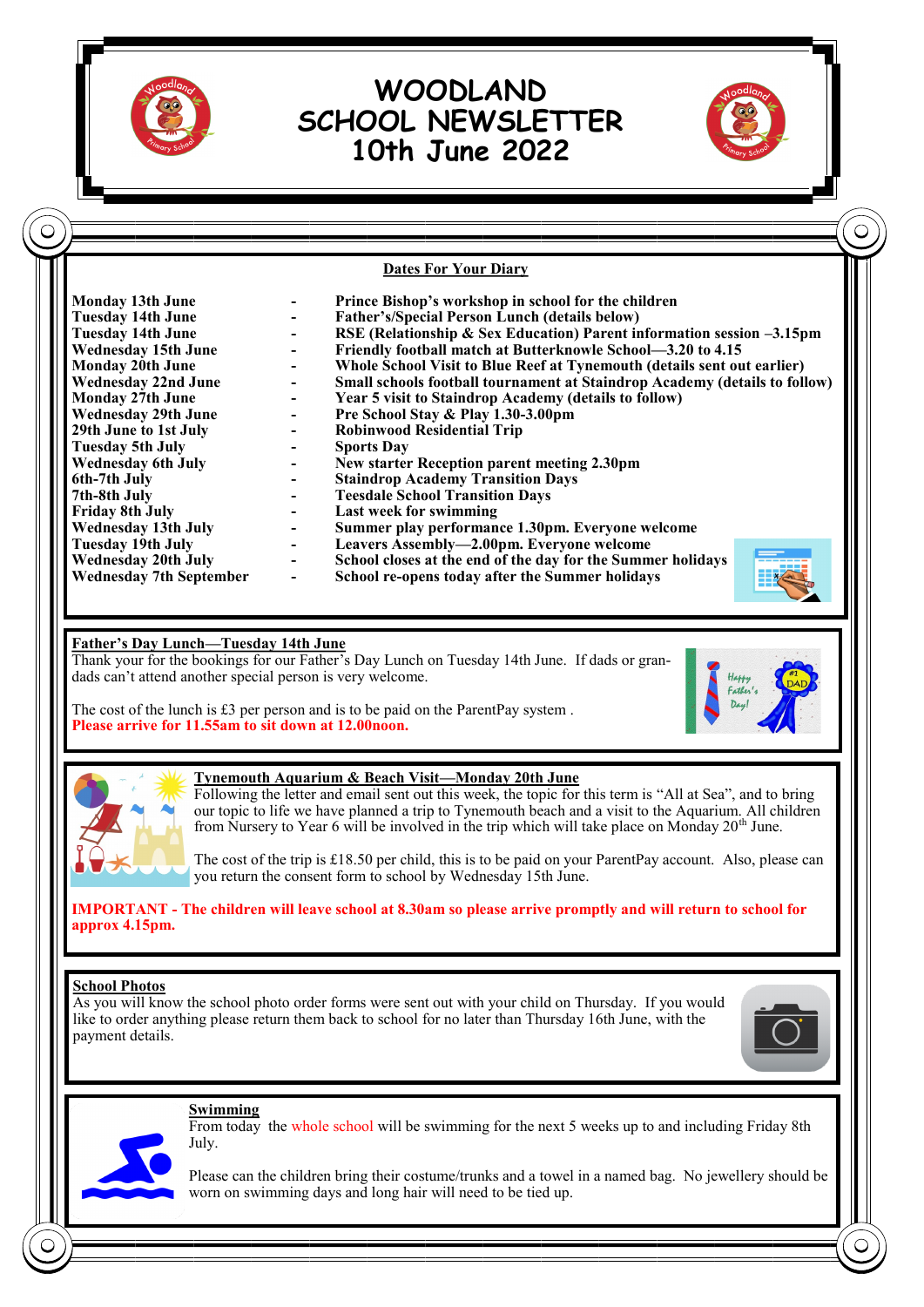

C

# **WOODLAND SCHOOL NEWSLETTER 10th June 2022**



 $\subset$ 

**Dates For Your Diary**

| <b>Monday 13th June</b>        | Prince Bishop's workshop in school for the children                        |
|--------------------------------|----------------------------------------------------------------------------|
| Tuesday 14th June              | <b>Father's/Special Person Lunch (details below)</b>                       |
| <b>Tuesday 14th June</b>       | RSE (Relationship & Sex Education) Parent information session $-3.15$ pm   |
| <b>Wednesday 15th June</b>     | Friendly football match at Butterknowle School—3.20 to 4.15                |
| <b>Monday 20th June</b>        | Whole School Visit to Blue Reef at Tynemouth (details sent out earlier)    |
| <b>Wednesday 22nd June</b>     | Small schools football tournament at Staindrop Academy (details to follow) |
| <b>Monday 27th June</b>        | Year 5 visit to Staindrop Academy (details to follow)                      |
| <b>Wednesday 29th June</b>     | Pre School Stay & Play 1.30-3.00pm                                         |
| 29th June to 1st July          | <b>Robinwood Residential Trip</b>                                          |
| <b>Tuesday 5th July</b>        | <b>Sports Day</b>                                                          |
| Wednesday 6th July             | New starter Reception parent meeting 2.30pm                                |
| 6th-7th July                   | <b>Staindrop Academy Transition Days</b>                                   |
| 7th-8th July                   | <b>Teesdale School Transition Days</b>                                     |
| <b>Friday 8th July</b>         | Last week for swimming                                                     |
| Wednesday 13th July            | Summer play performance 1.30pm. Everyone welcome                           |
| Tuesday 19th July              | Leavers Assembly—2.00pm. Everyone welcome                                  |
| <b>Wednesday 20th July</b>     | School closes at the end of the day for the Summer holidays                |
| <b>Wednesday 7th September</b> | <b>EXALLEN</b><br>School re-opens today after the Summer holidays          |

## **Father's Day Lunch—Tuesday 14th June**

Thank your for the bookings for our Father's Day Lunch on Tuesday 14th June. If dads or grandads can't attend another special person is very welcome.

The cost of the lunch is £3 per person and is to be paid on the ParentPay system . **Please arrive for 11.55am to sit down at 12.00noon.**





#### **Tynemouth Aquarium & Beach Visit—Monday 20th June**

Following the letter and email sent out this week, the topic for this term is "All at Sea", and to bring our topic to life we have planned a trip to Tynemouth beach and a visit to the Aquarium. All children from Nursery to Year 6 will be involved in the trip which will take place on Monday  $20<sup>th</sup>$  June.

The cost of the trip is £18.50 per child, this is to be paid on your ParentPay account. Also, please can you return the consent form to school by Wednesday 15th June.

**IMPORTANT - The children will leave school at 8.30am so please arrive promptly and will return to school for approx 4.15pm.** 

### **School Photos**

As you will know the school photo order forms were sent out with your child on Thursday. If you would like to order anything please return them back to school for no later than Thursday 16th June, with the payment details.





**Swimming**

July. Please can the children bring their costume/trunks and a towel in a named bag. No jewellery should be

From today the whole school will be swimming for the next 5 weeks up to and including Friday 8th

worn on swimming days and long hair will need to be tied up.